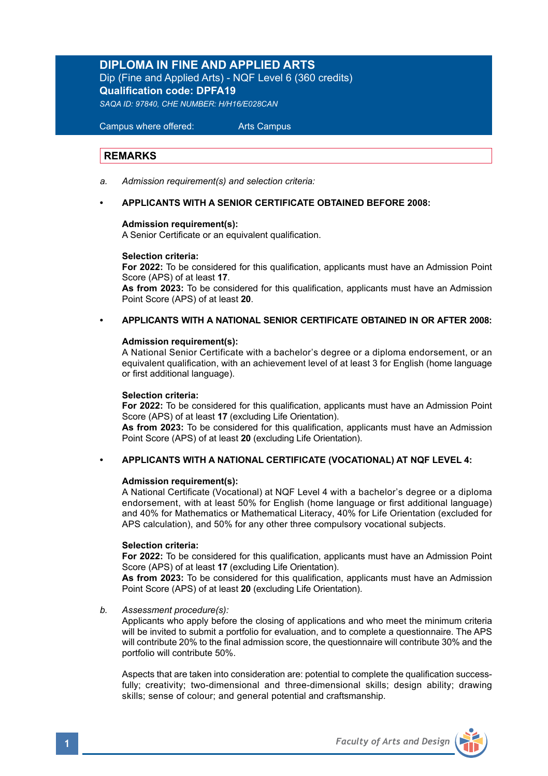# **DIPLOMA IN FINE AND APPLIED ARTS**

Dip (Fine and Applied Arts) - NQF Level 6 (360 credits) **Qualification code: DPFA19**  *SAQA ID: 97840, CHE NUMBER: H/H16/E028CAN* 

Campus where offered: Arts Campus

## **REMARKS**

*a. Admission requirement(s) and selection criteria:*

### **• APPLICANTS WITH A SENIOR CERTIFICATE OBTAINED BEFORE 2008:**

### **Admission requirement(s):**

A Senior Certificate or an equivalent qualification.

### **Selection criteria:**

**For 2022:** To be considered for this qualification, applicants must have an Admission Point Score (APS) of at least **17**.

**As from 2023:** To be considered for this qualification, applicants must have an Admission Point Score (APS) of at least **20**.

## **• APPLICANTS WITH A NATIONAL SENIOR CERTIFICATE OBTAINED IN OR AFTER 2008:**

### **Admission requirement(s):**

A National Senior Certificate with a bachelor's degree or a diploma endorsement, or an equivalent qualification, with an achievement level of at least 3 for English (home language or first additional language).

### **Selection criteria:**

**For 2022:** To be considered for this qualification, applicants must have an Admission Point Score (APS) of at least **17** (excluding Life Orientation).

**As from 2023:** To be considered for this qualification, applicants must have an Admission Point Score (APS) of at least **20** (excluding Life Orientation).

### **• APPLICANTS WITH A NATIONAL CERTIFICATE (VOCATIONAL) AT NQF LEVEL 4:**

### **Admission requirement(s):**

A National Certificate (Vocational) at NQF Level 4 with a bachelor's degree or a diploma endorsement, with at least 50% for English (home language or first additional language) and 40% for Mathematics or Mathematical Literacy, 40% for Life Orientation (excluded for APS calculation), and 50% for any other three compulsory vocational subjects.

### **Selection criteria:**

**For 2022:** To be considered for this qualification, applicants must have an Admission Point Score (APS) of at least **17** (excluding Life Orientation).

**As from 2023:** To be considered for this qualification, applicants must have an Admission Point Score (APS) of at least **20** (excluding Life Orientation).

*b. Assessment procedure(s):* 

Applicants who apply before the closing of applications and who meet the minimum criteria will be invited to submit a portfolio for evaluation, and to complete a questionnaire. The APS will contribute 20% to the final admission score, the questionnaire will contribute 30% and the portfolio will contribute 50%.

Aspects that are taken into consideration are: potential to complete the qualification successfully; creativity; two-dimensional and three-dimensional skills; design ability; drawing skills; sense of colour; and general potential and craftsmanship.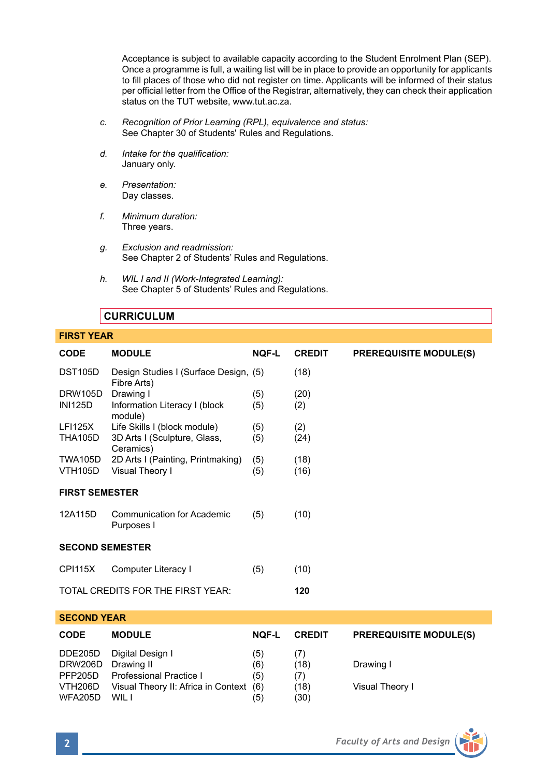Acceptance is subject to available capacity according to the Student Enrolment Plan (SEP). Once a programme is full, a waiting list will be in place to provide an opportunity for applicants to fill places of those who did not register on time. Applicants will be informed of their status per official letter from the Office of the Registrar, alternatively, they can check their application status on the TUT website, www.tut.ac.za.

- *c. Recognition of Prior Learning (RPL), equivalence and status:* See Chapter 30 of Students' Rules and Regulations.
- *d. Intake for the qualification:* January only.
- *e. Presentation:* Day classes.
- *f. Minimum duration:* Three years.
- *g. Exclusion and readmission:* See Chapter 2 of Students' Rules and Regulations.
- *h. WIL I and II (Work-Integrated Learning):*  See Chapter 5 of Students' Rules and Regulations.

# **CURRICULUM**

### **FIRST YEAR**

| <b>CODE</b>                                                              | <b>MODULE</b>                                                                                             | <b>NOF-L</b>                    | <b>CREDIT</b>                      | <b>PREREQUISITE MODULE(S)</b> |  |  |  |  |
|--------------------------------------------------------------------------|-----------------------------------------------------------------------------------------------------------|---------------------------------|------------------------------------|-------------------------------|--|--|--|--|
| <b>DST105D</b>                                                           | Design Studies I (Surface Design, (5)<br>Fibre Arts)                                                      |                                 | (18)                               |                               |  |  |  |  |
| <b>DRW105D</b><br><b>INI125D</b>                                         | Drawing I<br>Information Literacy I (block<br>module)                                                     | (5)<br>(5)                      | (20)<br>(2)                        |                               |  |  |  |  |
| <b>LFI125X</b><br><b>THA105D</b>                                         | Life Skills I (block module)<br>3D Arts I (Sculpture, Glass,<br>Ceramics)                                 | (5)<br>(5)                      | (2)<br>(24)                        |                               |  |  |  |  |
| <b>TWA105D</b><br><b>VTH105D</b>                                         | 2D Arts I (Painting, Printmaking)<br>Visual Theory I                                                      | (5)<br>(5)                      | (18)<br>(16)                       |                               |  |  |  |  |
| <b>FIRST SEMESTER</b>                                                    |                                                                                                           |                                 |                                    |                               |  |  |  |  |
| 12A115D                                                                  | Communication for Academic<br>Purposes I                                                                  | (5)                             | (10)                               |                               |  |  |  |  |
| <b>SECOND SEMESTER</b>                                                   |                                                                                                           |                                 |                                    |                               |  |  |  |  |
| <b>CPI115X</b>                                                           | Computer Literacy I                                                                                       | (5)                             | (10)                               |                               |  |  |  |  |
|                                                                          | TOTAL CREDITS FOR THE FIRST YEAR:                                                                         |                                 | 120                                |                               |  |  |  |  |
| <b>SECOND YEAR</b>                                                       |                                                                                                           |                                 |                                    |                               |  |  |  |  |
| <b>CODE</b>                                                              | <b>MODULE</b>                                                                                             | <b>NOF-L</b>                    | <b>CREDIT</b>                      | <b>PREREQUISITE MODULE(S)</b> |  |  |  |  |
| <b>DDE205D</b><br><b>DRW206D</b><br>PFP205D<br>VTH206D<br><b>WFA205D</b> | Digital Design I<br>Drawing II<br>Professional Practice I<br>Visual Theory II: Africa in Context<br>WIL I | (5)<br>(6)<br>(5)<br>(6)<br>(5) | (7)<br>(18)<br>(7)<br>(18)<br>(30) | Drawing I<br>Visual Theory I  |  |  |  |  |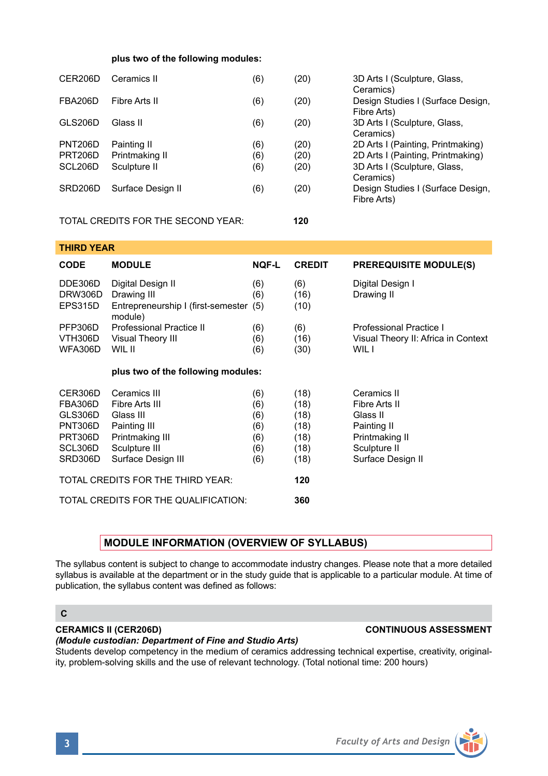## **plus two of the following modules:**

| CER206D        | Ceramics II                        | (6) | (20) | 3D Arts I (Sculpture, Glass,<br>Ceramics)        |
|----------------|------------------------------------|-----|------|--------------------------------------------------|
| <b>FBA206D</b> | Fibre Arts II                      | (6) | (20) | Design Studies I (Surface Design,<br>Fibre Arts) |
| GLS206D        | Glass II                           | (6) | (20) | 3D Arts I (Sculpture, Glass,<br>Ceramics)        |
| <b>PNT206D</b> | Painting II                        | (6) | (20) | 2D Arts I (Painting, Printmaking)                |
| PRT206D        | Printmaking II                     | (6) | (20) | 2D Arts I (Painting, Printmaking)                |
| SCL206D        | Sculpture II                       | (6) | (20) | 3D Arts I (Sculpture, Glass,<br>Ceramics)        |
| SRD206D        | Surface Design II                  | (6) | (20) | Design Studies I (Surface Design,<br>Fibre Arts) |
|                | TOTAL CREDITS FOR THE SECOND YEAR: |     | 120  |                                                  |

| THIRD YEAR                           |              |                                                                              |                                     |  |  |  |
|--------------------------------------|--------------|------------------------------------------------------------------------------|-------------------------------------|--|--|--|
| <b>MODULE</b>                        | <b>NOF-L</b> | <b>CREDIT</b>                                                                | <b>PREREQUISITE MODULE(S)</b>       |  |  |  |
| Digital Design II                    | (6)          | (6)                                                                          | Digital Design I                    |  |  |  |
| Drawing III                          | (6)          | (16)                                                                         | Drawing II                          |  |  |  |
| module)                              |              | (10)                                                                         |                                     |  |  |  |
| Professional Practice II             | (6)          | (6)                                                                          | Professional Practice I             |  |  |  |
| Visual Theory III                    | (6)          | (16)                                                                         | Visual Theory II: Africa in Context |  |  |  |
| WIL II                               | (6)          | (30)                                                                         | WIL I                               |  |  |  |
|                                      |              |                                                                              |                                     |  |  |  |
| Ceramics III                         | (6)          | (18)                                                                         | Ceramics II                         |  |  |  |
| Fibre Arts III                       | (6)          | (18)                                                                         | Fibre Arts II                       |  |  |  |
| Glass III                            | (6)          | (18)                                                                         | Glass II                            |  |  |  |
| Painting III                         | (6)          | (18)                                                                         | Painting II                         |  |  |  |
| Printmaking III                      | (6)          | (18)                                                                         | Printmaking II                      |  |  |  |
| Sculpture III                        | (6)          | (18)                                                                         | Sculpture II                        |  |  |  |
| Surface Design III                   | (6)          | (18)                                                                         | Surface Design II                   |  |  |  |
| TOTAL CREDITS FOR THE THIRD YEAR:    |              | 120                                                                          |                                     |  |  |  |
| TOTAL CREDITS FOR THE QUALIFICATION: |              |                                                                              |                                     |  |  |  |
|                                      |              | Entrepreneurship I (first-semester (5)<br>plus two of the following modules: | 360                                 |  |  |  |

# **MODULE INFORMATION (OVERVIEW OF SYLLABUS)**

The syllabus content is subject to change to accommodate industry changes. Please note that a more detailed syllabus is available at the department or in the study guide that is applicable to a particular module. At time of publication, the syllabus content was defined as follows:

### **C**

# **CERAMICS II (CER206D) CONTINUOUS ASSESSMENT**

### *(Module custodian: Department of Fine and Studio Arts)*

Students develop competency in the medium of ceramics addressing technical expertise, creativity, originality, problem-solving skills and the use of relevant technology. (Total notional time: 200 hours)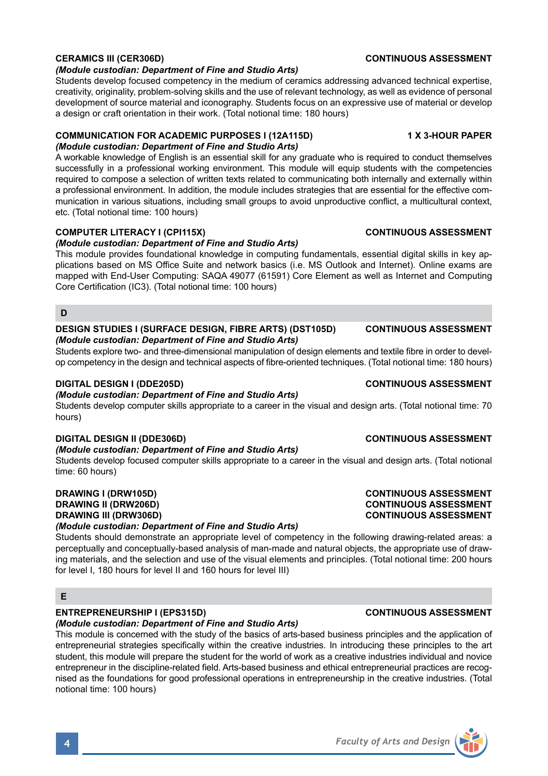

### *(Module custodian: Department of Fine and Studio Arts)*

Students develop focused competency in the medium of ceramics addressing advanced technical expertise, creativity, originality, problem-solving skills and the use of relevant technology, as well as evidence of personal development of source material and iconography. Students focus on an expressive use of material or develop a design or craft orientation in their work. (Total notional time: 180 hours)

# **COMMUNICATION FOR ACADEMIC PURPOSES I (12A115D) 1 X 3-HOUR PAPER**

## *(Module custodian: Department of Fine and Studio Arts)*

A workable knowledge of English is an essential skill for any graduate who is required to conduct themselves successfully in a professional working environment. This module will equip students with the competencies required to compose a selection of written texts related to communicating both internally and externally within a professional environment. In addition, the module includes strategies that are essential for the effective communication in various situations, including small groups to avoid unproductive conflict, a multicultural context, etc. (Total notional time: 100 hours)

## **COMPUTER LITERACY I (CPI115X) CONTINUOUS ASSESSMENT**

## *(Module custodian: Department of Fine and Studio Arts)*

This module provides foundational knowledge in computing fundamentals, essential digital skills in key applications based on MS Office Suite and network basics (i.e. MS Outlook and Internet). Online exams are mapped with End-User Computing: SAQA 49077 (61591) Core Element as well as Internet and Computing Core Certification (IC3). (Total notional time: 100 hours)

## **D**

### **DESIGN STUDIES I (SURFACE DESIGN, FIBRE ARTS) (DST105D) CONTINUOUS ASSESSMENT** *(Module custodian: Department of Fine and Studio Arts)*

Students explore two- and three-dimensional manipulation of design elements and textile fibre in order to develop competency in the design and technical aspects of fibre-oriented techniques. (Total notional time: 180 hours)

## *(Module custodian: Department of Fine and Studio Arts)*

Students develop computer skills appropriate to a career in the visual and design arts. (Total notional time: 70 hours)

## **DIGITAL DESIGN II (DDE306D) CONTINUOUS ASSESSMENT**

## *(Module custodian: Department of Fine and Studio Arts)*

Students develop focused computer skills appropriate to a career in the visual and design arts. (Total notional time: 60 hours)

## *(Module custodian: Department of Fine and Studio Arts)*

Students should demonstrate an appropriate level of competency in the following drawing-related areas: a perceptually and conceptually-based analysis of man-made and natural objects, the appropriate use of drawing materials, and the selection and use of the visual elements and principles. (Total notional time: 200 hours for level I, 180 hours for level II and 160 hours for level III)

## **E**

# **ENTREPRENEURSHIP I (EPS315D) CONTINUOUS ASSESSMENT**

## *(Module custodian: Department of Fine and Studio Arts)*

This module is concerned with the study of the basics of arts-based business principles and the application of entrepreneurial strategies specifically within the creative industries. In introducing these principles to the art student, this module will prepare the student for the world of work as a creative industries individual and novice entrepreneur in the discipline-related field. Arts-based business and ethical entrepreneurial practices are recognised as the foundations for good professional operations in entrepreneurship in the creative industries. (Total notional time: 100 hours)

## **DIGITAL DESIGN I (DDE205D) CONTINUOUS ASSESSMENT**

## **DRAWING I (DRW105D) CONTINUOUS ASSESSMENT DRAWING II (DRW206D) CONTINUOUS ASSESSMENT CONTINUOUS ASSESSMENT**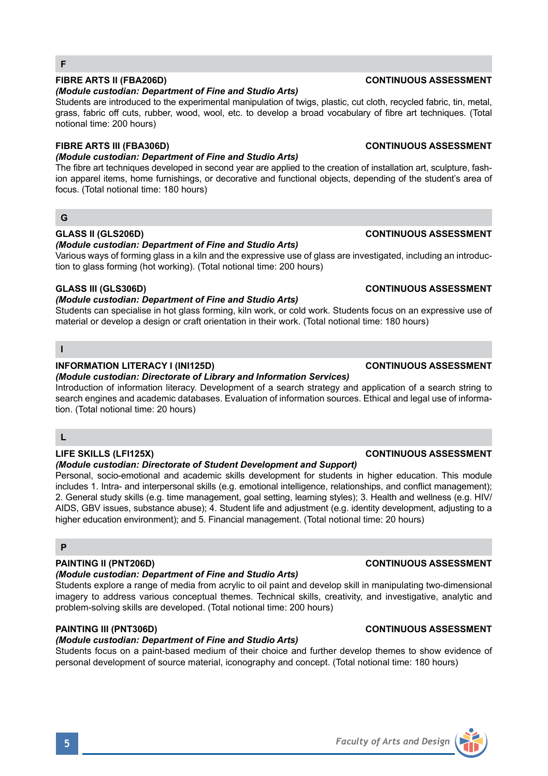# **FIBRE ARTS II (FBA206D) CONTINUOUS ASSESSMENT**

## *(Module custodian: Department of Fine and Studio Arts)*

Students are introduced to the experimental manipulation of twigs, plastic, cut cloth, recycled fabric, tin, metal, grass, fabric off cuts, rubber, wood, wool, etc. to develop a broad vocabulary of fibre art techniques. (Total notional time: 200 hours)

## **FIBRE ARTS III (FBA306D) CONTINUOUS ASSESSMENT**

## *(Module custodian: Department of Fine and Studio Arts)*

The fibre art techniques developed in second year are applied to the creation of installation art, sculpture, fashion apparel items, home furnishings, or decorative and functional objects, depending of the student's area of focus. (Total notional time: 180 hours)

## **G**

## **GLASS II (GLS206D) CONTINUOUS ASSESSMENT**

## *(Module custodian: Department of Fine and Studio Arts)*

Various ways of forming glass in a kiln and the expressive use of glass are investigated, including an introduction to glass forming (hot working). (Total notional time: 200 hours)

## **GLASS III (GLS306D) CONTINUOUS ASSESSMENT**

## *(Module custodian: Department of Fine and Studio Arts)*

Students can specialise in hot glass forming, kiln work, or cold work. Students focus on an expressive use of material or develop a design or craft orientation in their work. (Total notional time: 180 hours)

## **I**

## **INFORMATION LITERACY I (INI125D) CONTINUOUS ASSESSMENT**

## *(Module custodian: Directorate of Library and Information Services)*

Introduction of information literacy. Development of a search strategy and application of a search string to search engines and academic databases. Evaluation of information sources. Ethical and legal use of information. (Total notional time: 20 hours)

## **L**

# **LIFE SKILLS (LFI125X) CONTINUOUS ASSESSMENT**

## *(Module custodian: Directorate of Student Development and Support)*

Personal, socio-emotional and academic skills development for students in higher education. This module includes 1. Intra- and interpersonal skills (e.g. emotional intelligence, relationships, and conflict management); 2. General study skills (e.g. time management, goal setting, learning styles); 3. Health and wellness (e.g. HIV/ AIDS, GBV issues, substance abuse); 4. Student life and adjustment (e.g. identity development, adjusting to a higher education environment); and 5. Financial management. (Total notional time: 20 hours)

# **P**

# **PAINTING II (PNT206D) CONTINUOUS ASSESSMENT**

# *(Module custodian: Department of Fine and Studio Arts)*

Students explore a range of media from acrylic to oil paint and develop skill in manipulating two-dimensional imagery to address various conceptual themes. Technical skills, creativity, and investigative, analytic and problem-solving skills are developed. (Total notional time: 200 hours)

# **PAINTING III (PNT306D) CONTINUOUS ASSESSMENT**

# *(Module custodian: Department of Fine and Studio Arts)*

Students focus on a paint-based medium of their choice and further develop themes to show evidence of personal development of source material, iconography and concept. (Total notional time: 180 hours)

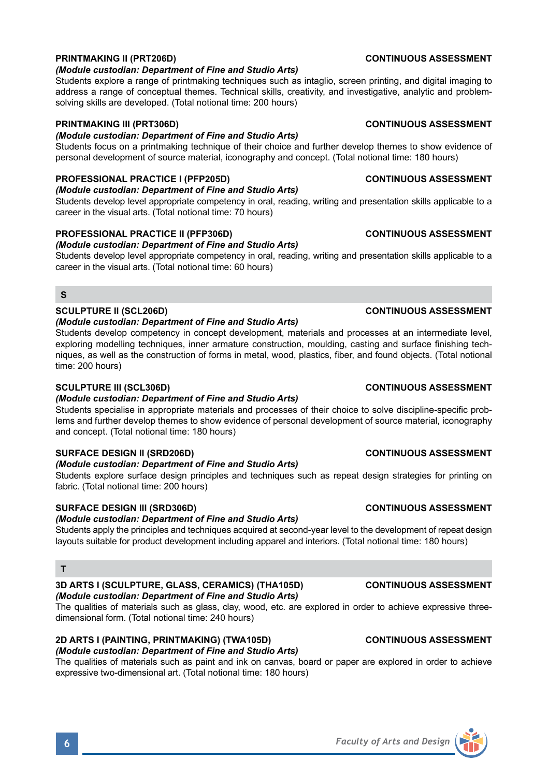## **PRINTMAKING II (PRT206D) CONTINUOUS ASSESSMENT**

### *(Module custodian: Department of Fine and Studio Arts)*

Students explore a range of printmaking techniques such as intaglio, screen printing, and digital imaging to address a range of conceptual themes. Technical skills, creativity, and investigative, analytic and problemsolving skills are developed. (Total notional time: 200 hours)

## **PRINTMAKING III (PRT306D) CONTINUOUS ASSESSMENT**

# *(Module custodian: Department of Fine and Studio Arts)*

Students focus on a printmaking technique of their choice and further develop themes to show evidence of personal development of source material, iconography and concept. (Total notional time: 180 hours)

## **PROFESSIONAL PRACTICE I (PFP205D) CONTINUOUS ASSESSMENT**

### *(Module custodian: Department of Fine and Studio Arts)*

Students develop level appropriate competency in oral, reading, writing and presentation skills applicable to a career in the visual arts. (Total notional time: 70 hours)

## **PROFESSIONAL PRACTICE II (PFP306D) CONTINUOUS ASSESSMENT**

## *(Module custodian: Department of Fine and Studio Arts)*

Students develop level appropriate competency in oral, reading, writing and presentation skills applicable to a career in the visual arts. (Total notional time: 60 hours)

### **S**

## **SCULPTURE II (SCL206D) CONTINUOUS ASSESSMENT**

### *(Module custodian: Department of Fine and Studio Arts)*

Students develop competency in concept development, materials and processes at an intermediate level, exploring modelling techniques, inner armature construction, moulding, casting and surface finishing techniques, as well as the construction of forms in metal, wood, plastics, fiber, and found objects. (Total notional time: 200 hours)

### **SCULPTURE III (SCL306D) CONTINUOUS ASSESSMENT**

## *(Module custodian: Department of Fine and Studio Arts)*

Students specialise in appropriate materials and processes of their choice to solve discipline-specific problems and further develop themes to show evidence of personal development of source material, iconography and concept. (Total notional time: 180 hours)

## **SURFACE DESIGN II (SRD206D) CONTINUOUS ASSESSMENT**

### *(Module custodian: Department of Fine and Studio Arts)*

Students explore surface design principles and techniques such as repeat design strategies for printing on fabric. (Total notional time: 200 hours)

## **SURFACE DESIGN III (SRD306D)** CONTINUOUS ASSESSMENT

### *(Module custodian: Department of Fine and Studio Arts)*

Students apply the principles and techniques acquired at second-year level to the development of repeat design layouts suitable for product development including apparel and interiors. (Total notional time: 180 hours)

### **T**

### **3D ARTS I (SCULPTURE, GLASS, CERAMICS) (THA105D) CONTINUOUS ASSESSMENT** *(Module custodian: Department of Fine and Studio Arts)*

The qualities of materials such as glass, clay, wood, etc. are explored in order to achieve expressive threedimensional form. (Total notional time: 240 hours)

# **2D ARTS I (PAINTING, PRINTMAKING) (TWA105D) CONTINUOUS ASSESSMENT**

## *(Module custodian: Department of Fine and Studio Arts)*

The qualities of materials such as paint and ink on canvas, board or paper are explored in order to achieve expressive two-dimensional art. (Total notional time: 180 hours)